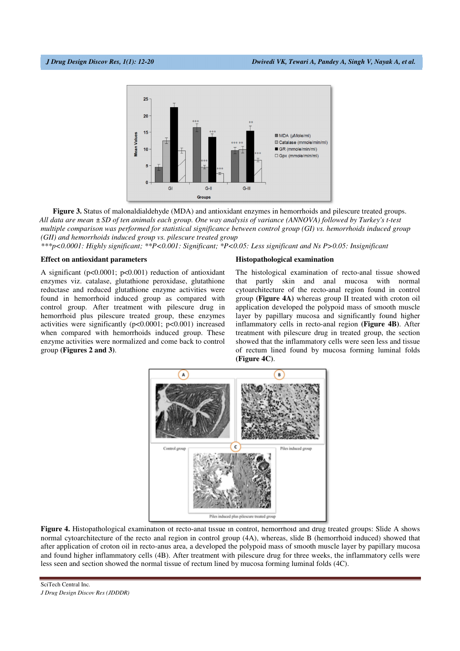

**Figure 3.** Status of malonaldialdehyde (MDA) and antioxidant enzymes in hemorrhoids and pilescure treated groups. *All data are mean ± SD of ten animals each group. One way analysis of variance (ANNOVA) followed by Turkey's t-test multiple comparison was performed for statistical significance between control group (GI) vs. hemorrhoids induced group (GII) and hemorrhoids induced group vs. pilescure treated group* 

*\*\*\*p<0.0001: Highly significant; \*\*P<0.001: Significant; \*P<0.05: Less significant and Ns P>0.05: Insignificant*

# **Effect on antioxidant parameters**

A significant (p<0.0001; p<0.001) reduction of antioxidant enzymes viz. catalase, glutathione peroxidase, glutathione reductase and reduced glutathione enzyme activities were found in hemorrhoid induced group as compared with control group. After treatment with pilescure drug in hemorrhoid plus pilescure treated group, these enzymes activities were significantly (p<0.0001; p<0.001) increased when compared with hemorrhoids induced group. These enzyme activities were normalized and come back to control group **(Figures 2 and 3)**.

### **Histopathological examination**

The histological examination of recto-anal tissue showed that partly skin and anal mucosa with normal cytoarchitecture of the recto-anal region found in control group **(Figure 4A)** whereas group II treated with croton oil application developed the polypoid mass of smooth muscle layer by papillary mucosa and significantly found higher inflammatory cells in recto-anal region **(Figure 4B)**. After treatment with pilescure drug in treated group, the section showed that the inflammatory cells were seen less and tissue of rectum lined found by mucosa forming luminal folds **(Figure 4C)**.



**Figure 4.** Histopathological examination of recto-anal tissue in control, hemorrhoid and drug treated groups: Slide A shows normal cytoarchitecture of the recto anal region in control group (4A), whereas, slide B (hemorrhoid induced) showed that after application of croton oil in recto-anus area, a developed the polypoid mass of smooth muscle layer by papillary mucosa and found higher inflammatory cells (4B). After treatment with pilescure drug for three weeks, the inflammatory cells were less seen and section showed the normal tissue of rectum lined by mucosa forming luminal folds (4C).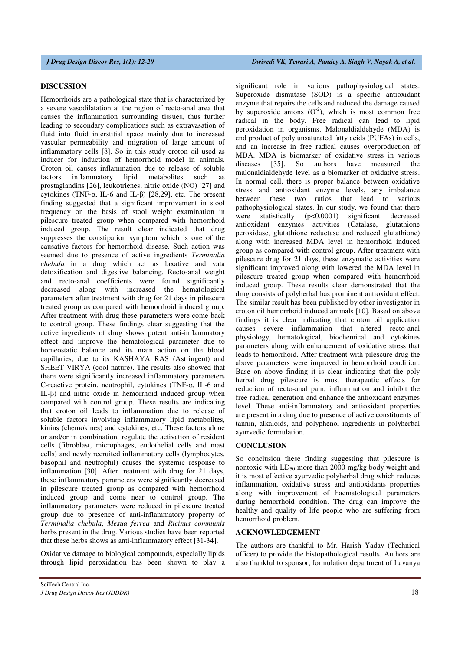# **DISCUSSION**

Hemorrhoids are a pathological state that is characterized by a severe vasodilatation at the region of recto-anal area that causes the inflammation surrounding tissues, thus further leading to secondary complications such as extravasation of fluid into fluid interstitial space mainly due to increased vascular permeability and migration of large amount of inflammatory cells [8]. So in this study croton oil used as inducer for induction of hemorrhoid model in animals. Croton oil causes inflammation due to release of soluble factors inflammatory lipid metabolites such as prostaglandins [26], leukotrienes, nitric oxide (NO) [27] and cytokines (TNF-α, IL-6 and IL-β) [28,29], etc. The present finding suggested that a significant improvement in stool frequency on the basis of stool weight examination in pilescure treated group when compared with hemorrhoid induced group. The result clear indicated that drug suppresses the constipation symptom which is one of the causative factors for hemorrhoid disease. Such action was seemed due to presence of active ingredients *Terminalia chebula* in a drug which act as laxative and vata detoxification and digestive balancing. Recto-anal weight and recto-anal coefficients were found significantly decreased along with increased the hematological parameters after treatment with drug for 21 days in pilescure treated group as compared with hemorrhoid induced group. After treatment with drug these parameters were come back to control group. These findings clear suggesting that the active ingredients of drug shows potent anti-inflammatory effect and improve the hematological parameter due to homeostatic balance and its main action on the blood capillaries, due to its KASHAYA RAS (Astringent) and SHEET VIRYA (cool nature). The results also showed that there were significantly increased inflammatory parameters C-reactive protein, neutrophil, cytokines (TNF-α, IL-6 and IL-β) and nitric oxide in hemorrhoid induced group when compared with control group. These results are indicating that croton oil leads to inflammation due to release of soluble factors involving inflammatory lipid metabolites, kinins (chemokines) and cytokines, etc. These factors alone or and/or in combination, regulate the activation of resident cells (fibroblast, microphages, endothelial cells and mast cells) and newly recruited inflammatory cells (lymphocytes, basophil and neutrophil) causes the systemic response to inflammation [30]. After treatment with drug for 21 days, these inflammatory parameters were significantly decreased in pilescure treated group as compared with hemorrhoid induced group and come near to control group. The inflammatory parameters were reduced in pilescure treated group due to presence of anti-inflammatory property of *Terminalia chebula*, *Mesua ferrea* and *Ricinus communis* herbs present in the drug. Various studies have been reported that these herbs shows as anti-inflammatory effect [31-34].

Oxidative damage to biological compounds, especially lipids through lipid peroxidation has been shown to play a

significant role in various pathophysiological states. Superoxide dismutase (SOD) is a specific antioxidant enzyme that repairs the cells and reduced the damage caused by superoxide anions  $(O<sup>2</sup>)$ , which is most common free radical in the body. Free radical can lead to lipid peroxidation in organisms. Malonaldialdehyde (MDA) is end product of poly unsaturated fatty acids (PUFAs) in cells, and an increase in free radical causes overproduction of MDA. MDA is biomarker of oxidative stress in various diseases [35]. So authors have measured the malonaldialdehyde level as a biomarker of oxidative stress. In normal cell, there is proper balance between oxidative stress and antioxidant enzyme levels, any imbalance between these two ratios that lead to various pathophysiological states. In our study, we found that there were statistically (p<0.0001) significant decreased antioxidant enzymes activities (Catalase, glutathione peroxidase, glutathione reductase and reduced glutathione) along with increased MDA level in hemorrhoid induced group as compared with control group. After treatment with pilescure drug for 21 days, these enzymatic activities were significant improved along with lowered the MDA level in pilescure treated group when compared with hemorrhoid induced group. These results clear demonstrated that the drug consists of polyherbal has prominent antioxidant effect. The similar result has been published by other investigator in croton oil hemorrhoid induced animals [10]. Based on above findings it is clear indicating that croton oil application causes severe inflammation that altered recto-anal physiology, hematological, biochemical and cytokines parameters along with enhancement of oxidative stress that leads to hemorrhoid. After treatment with pilescure drug the above parameters were improved in hemorrhoid condition. Base on above finding it is clear indicating that the poly herbal drug pilescure is most therapeutic effects for reduction of recto-anal pain, inflammation and inhibit the free radical generation and enhance the antioxidant enzymes level. These anti-inflammatory and antioxidant properties are present in a drug due to presence of active constituents of tannin, alkaloids, and polyphenol ingredients in polyherbal ayurvedic formulation.

# **CONCLUSION**

So conclusion these finding suggesting that pilescure is nontoxic with  $LD_{50}$  more than 2000 mg/kg body weight and it is most effective ayurvedic polyherbal drug which reduces inflammation, oxidative stress and antioxidants properties along with improvement of haematological parameters during hemorrhoid condition. The drug can improve the healthy and quality of life people who are suffering from hemorrhoid problem.

## **ACKNOWLEDGEMENT**

The authors are thankful to Mr. Harish Yadav (Technical officer) to provide the histopathological results. Authors are also thankful to sponsor, formulation department of Lavanya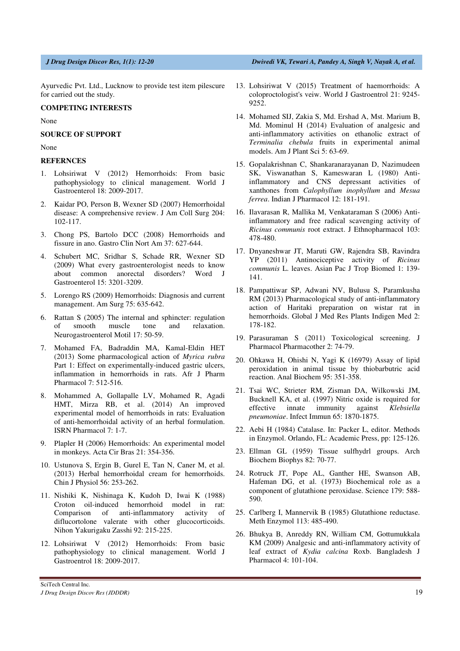Ayurvedic Pvt. Ltd., Lucknow to provide test item pilescure for carried out the study.

# **COMPETING INTERESTS**

None

# **SOURCE OF SUPPORT**

None

### **REFERNCES**

- 1. Lohsiriwat V (2012) Hemorrhoids: From basic pathophysiology to clinical management. World J Gastroenterol 18: 2009-2017.
- 2. Kaidar PO, Person B, Wexner SD (2007) Hemorrhoidal disease: A comprehensive review. J Am Coll Surg 204: 102-117.
- 3. Chong PS, Bartolo DCC (2008) Hemorrhoids and fissure in ano. Gastro Clin Nort Am 37: 627-644.
- 4. Schubert MC, Sridhar S, Schade RR, Wexner SD (2009) What every gastroenterologist needs to know about common anorectal disorders? Word J Gastroenterol 15: 3201-3209.
- 5. Lorengo RS (2009) Hemorrhoids: Diagnosis and current management. Am Surg 75: 635-642.
- 6. Rattan S (2005) The internal and sphincter: regulation of smooth muscle tone and relaxation. Neurogastroenterol Motil 17: 50-59.
- 7. Mohamed FA, Badraddin MA, Kamal-Eldin HET (2013) Some pharmacological action of *Myrica rubra* Part 1: Effect on experimentally-induced gastric ulcers, inflammation in hemorrhoids in rats. Afr J Pharm Pharmacol 7: 512-516.
- 8. Mohammed A, Gollapalle LV, Mohamed R, Agadi HMT, Mirza RB, et al. (2014) An improved experimental model of hemorrhoids in rats: Evaluation of anti-hemorrhoidal activity of an herbal formulation. ISRN Pharmacol 7: 1-7.
- 9. Plapler H (2006) Hemorrhoids: An experimental model in monkeys. Acta Cir Bras 21: 354-356.
- 10. Ustunova S, Ergin B, Gurel E, Tan N, Caner M, et al. (2013) Herbal hemorrhoidal cream for hemorrhoids. Chin J Physiol 56: 253-262.
- 11. Nishiki K, Nishinaga K, Kudoh D, Iwai K (1988) Croton oil-induced hemorrhoid model in rat: Comparison of anti-inflammatory activity of diflucortolone valerate with other glucocorticoids. Nihon Yakurigaku Zasshi 92: 215-225.
- 12. Lohsiriwat V (2012) Hemorrhoids: From basic pathophysiology to clinical management. World J Gastroentrol 18: 2009-2017.
- 13. Lohsiriwat V (2015) Treatment of haemorrhoids: A coloproctologist's veiw. World J Gastroentrol 21: 9245- 9252.
- 14. Mohamed SIJ, Zakia S, Md. Ershad A, Mst. Marium B, Md. Mominul H (2014) Evaluation of analgesic and anti-inflammatory activities on ethanolic extract of *Terminalia chebula* fruits in experimental animal models. Am J Plant Sci 5: 63-69.
- 15. Gopalakrishnan C, Shankaranarayanan D, Nazimudeen SK, Viswanathan S, Kameswaran L (1980) Antiinflammatory and CNS depressant activities of xanthones from *Calophyllum inophyllum* and *Mesua ferrea*. Indian J Pharmacol 12: 181-191.
- 16. Ilavarasan R, Mallika M, Venkataraman S (2006) Antiinflammatory and free radical scavenging activity of *Ricinus communis* root extract. J Ethnopharmacol 103: 478-480.
- 17. Dnyaneshwar JT, Maruti GW, Rajendra SB, Ravindra YP (2011) Antinociceptive activity of *Ricinus communis* L. leaves. Asian Pac J Trop Biomed 1: 139- 141.
- 18. Pampattiwar SP, Adwani NV, Bulusu S, Paramkusha RM (2013) Pharmacological study of anti-inflammatory action of Haritaki preparation on wistar rat in hemorrhoids. Global J Med Res Plants Indigen Med 2: 178-182.
- 19. Parasuraman S (2011) Toxicological screening. J Pharmacol Pharmacother 2: 74-79.
- 20. Ohkawa H, Ohishi N, Yagi K (16979) Assay of lipid peroxidation in animal tissue by thiobarbutric acid reaction. Anal Biochem 95: 351-358.
- 21. Tsai WC, Strieter RM, Zisman DA, Wilkowski JM, Bucknell KA, et al. (1997) Nitric oxide is required for effective innate immunity against *Klebsiella pneumoniae*. Infect Immun 65: 1870-1875.
- 22. Aebi H (1984) Catalase. In: Packer L, editor. Methods in Enzymol. Orlando, FL: Academic Press, pp: 125-126.
- 23. Ellman GL (1959) Tissue sulfhydrl groups. Arch Biochem Biophys 82: 70-77.
- 24. Rotruck JT, Pope AL, Ganther HE, Swanson AB, Hafeman DG, et al. (1973) Biochemical role as a component of glutathione peroxidase. Science 179: 588- 590.
- 25. Carlberg I, Mannervik B (1985) Glutathione reductase. Meth Enzymol 113: 485-490.
- 26. Bhukya B, Anreddy RN, William CM, Gottumukkala KM (2009) Analgesic and anti-inflammatory activity of leaf extract of *Kydia calcina* Roxb. Bangladesh J Pharmacol 4: 101-104.